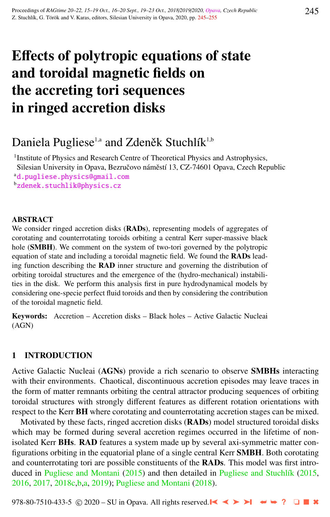# Effects of polytropic equations of state and toroidal magnetic fields on the accreting tori sequences in ringed accretion disks

# Daniela Pugliese<sup>1,a</sup> and Zdeněk Stuchlík<sup>1,b</sup>

<sup>1</sup> Institute of Physics and Research Centre of Theoretical Physics and Astrophysics, Silesian University in Opava, Bezručovo náměstí 13, CZ-74601 Opava, Czech Republic

<sup>a</sup>[d.pugliese.physics@gmail.com](http://www.physics.cz/ d.pugliese.physics@gmail.com)

<sup>b</sup>[zdenek.stuchlik@physics.cz](http://www.physics.cz/ zdenek.stuchlik@physics.cz)

#### **ABSTRACT**

We consider ringed accretion disks (RADs), representing models of aggregates of corotating and counterrotating toroids orbiting a central Kerr super-massive black hole (**SMBH**). We comment on the system of two-tori governed by the polytropic equation of state and including a toroidal magnetic field. We found the RADs leading function describing the RAD inner structure and governing the distribution of orbiting toroidal structures and the emergence of the (hydro-mechanical) instabilities in the disk. We perform this analysis first in pure hydrodynamical models by considering one-specie perfect fluid toroids and then by considering the contribution of the toroidal magnetic field.

Keywords: Accretion – Accretion disks – Black holes – Active Galactic Nucleai (AGN)

# 1 INTRODUCTION

Active Galactic Nucleai (AGNs) provide a rich scenario to observe SMBHs interacting with their environments. Chaotical, discontinuous accretion episodes may leave traces in the form of matter remnants orbiting the central attractor producing sequences of orbiting toroidal structures with strongly different features as different rotation orientations with respect to the Kerr BH where corotating and counterrotating accretion stages can be mixed.

Motivated by these facts, ringed accretion disks (**RADs**) model structured toroidal disks which may be formed during several accretion regimes occurred in the lifetime of nonisolated Kerr BHs. RAD features a system made up by several axi-symmetric matter configurations orbiting in the equatorial plane of a single central Kerr SMBH. Both corotating and counterrotating tori are possible constituents of the RADs. This model was first intro-duced in [Pugliese and Montani](#page-9-0) [\(2015\)](#page-9-0) and then detailed in Pugliese and Stuchlík [\(2015,](#page-9-0) [2016,](#page-9-0) [2017,](#page-9-0) [2018c,b,](#page-10-0)[a,](#page-9-0) [2019\)](#page-10-0); [Pugliese and Montani](#page-9-0) [\(2018\)](#page-9-0).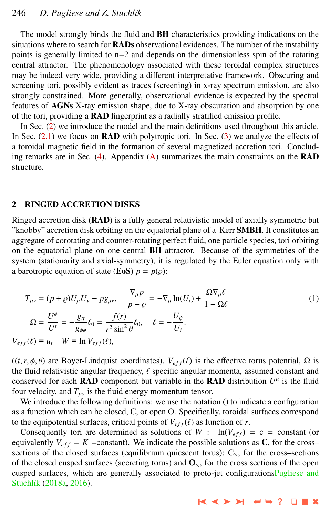# 246 *D. Pugliese and Z. Stuchl´ık*

The model strongly binds the fluid and BH characteristics providing indications on the situations where to search for **RADs** observational evidences. The number of the instability points is generally limited to n=2 and depends on the dimensionless spin of the rotating central attractor. The phenomenology associated with these toroidal complex structures may be indeed very wide, providing a different interpretative framework. Obscuring and screening tori, possibly evident as traces (screening) in x-ray spectrum emission, are also strongly constrained. More generally, observational evidence is expected by the spectral features of AGNs X-ray emission shape, due to X-ray obscuration and absorption by one of the tori, providing a RAD fingerprint as a radially stratified emission profile.

In Sec. (2) we introduce the model and the main definitions used throughout this article. In Sec.  $(2.1)$  we focus on **RAD** with polytropic tori. In Sec.  $(3)$  we analyze the effects of a toroidal magnetic field in the formation of several magnetized accretion tori. Concluding remarks are in Sec. [\(4\)](#page-7-0). Appendix [\(A\)](#page-8-0) summarizes the main constraints on the RAD structure.

#### 2 RINGED ACCRETION DISKS

Ringed accretion disk (RAD) is a fully general relativistic model of axially symmetric but "knobby" accretion disk orbiting on the equatorial plane of a Kerr SMBH. It constitutes an aggregate of corotating and counter-rotating perfect fluid, one particle species, tori orbiting on the equatorial plane on one central BH attractor. Because of the symmetries of the system (stationarity and axial-symmetry), it is regulated by the Euler equation only with a barotropic equation of state (**EoS**)  $p = p(\rho)$ :

$$
T_{\mu\nu} = (p + \varrho)U_{\mu}U_{\nu} - pg_{\mu\nu}, \quad \frac{\nabla_{\mu}p}{p + \varrho} = -\nabla_{\mu}\ln(U_{t}) + \frac{\Omega\nabla_{\mu}\ell}{1 - \Omega\ell}
$$
  
\n
$$
\Omega = \frac{U^{\phi}}{U^{t}} = -\frac{g_{tt}}{g_{\phi\phi}}\ell_{0} = \frac{f(r)}{r^{2}\sin^{2}\theta}\ell_{0}, \quad \ell = -\frac{U_{\phi}}{U_{t}}.
$$
  
\n
$$
V_{eff}(\ell) \equiv u_{t} \quad W \equiv \ln V_{eff}(\ell),
$$
\n(1)

 $((t, r, \phi, \theta)$  are Boyer-Lindquist coordinates),  $V_{eff}(\ell)$  is the effective torus potential,  $\Omega$  is the fluid relativistic angular frequency,  $\ell$  specific angular momenta, assumed constant and conserved for each RAD component but variable in the RAD distribution  $U^a$  is the fluid four velocity, and  $T_{\mu\nu}$  is the fluid energy momentum tensor.

We introduce the following definitions: we use the notation () to indicate a configuration as a function which can be closed, C, or open O. Specifically, toroidal surfaces correspond to the equipotential surfaces, critical points of  $V_{eff}(\ell)$  as function of *r*.

Consequently tori are determined as solutions of *W* :  $\ln(V_{eff}) = c = constant$  (or equivalently  $V_{eff} = K = constant$ . We indicate the possible solutions as C, for the cross– sections of the closed surfaces (equilibrium quiescent torus);  $C_{\times}$ , for the cross–sections of the closed cusped surfaces (accreting torus) and  $\mathbf{O}_{\mathsf{x}}$ , for the cross sections of the open cusped surfaces, which are generally associated to proto-jet configuration[sPugliese and](#page-9-0) Stuchlík [\(2018a,](#page-9-0) [2016\)](#page-9-0).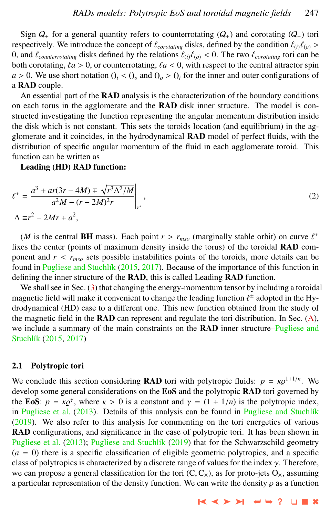<span id="page-2-0"></span>Sign  $Q_{\pm}$  for a general quantity refers to counterrotating  $(Q_{+})$  and corotating  $(Q_{-})$  tori respectively. We introduce the concept of  $\ell_{corotating}$  disks, defined by the condition  $\ell_{(i)}\ell_{(o)}$  > 0, and  $\ell_{counterrotating}$  disks defined by the relations  $\ell_{(i)}\ell_{(o)} < 0$ . The two  $\ell_{corotating}$  tori can be both corotating,  $\ell a > 0$ , or counterrotating,  $\ell a < 0$ , with respect to the central attractor spin  $a > 0$ . We use short notation  $Q_i < Q_o$  and  $Q_o > Q_i$  for the inner and outer configurations of a RAD couple.

An essential part of the RAD analysis is the characterization of the boundary conditions on each torus in the agglomerate and the RAD disk inner structure. The model is constructed investigating the function representing the angular momentum distribution inside the disk which is not constant. This sets the toroids location (and equilibrium) in the agglomerate and it coincides, in the hydrodynamical RAD model of perfect fluids, with the distribution of specific angular momentum of the fluid in each agglomerate toroid. This function can be written as

Leading (HD) RAD function:

$$
\ell^{\mp} = \frac{a^3 + ar(3r - 4M) \mp \sqrt{r^3 \Delta^2 / M}}{a^2 M - (r - 2M)^2 r},
$$
  

$$
\Delta \equiv r^2 - 2Mr + a^2,
$$
 (2)

(*M* is the central **BH** mass). Each point  $r > r_{mso}$  (marginally stable orbit) on curve  $\ell^{\pm}$  es the center (points of maximum density inside the torus) of the toroidal **RAD** comfixes the center (points of maximum density inside the torus) of the toroidal RAD component and  $r < r_{mso}$  sets possible instabilities points of the toroids, more details can be found in Pugliese and Stuchlík [\(2015,](#page-9-0) [2017\)](#page-9-0). Because of the importance of this function in defining the inner structure of the RAD, this is called Leading RAD function.

We shall see in Sec. [\(3\)](#page-4-0) that changing the energy-momentum tensor by including a toroidal magnetic field will make it convenient to change the leading function  $\ell^{\pm}$  adopted in the Hy-<br>drodynamical (HD) case to a different one. This new function obtained from the study of drodynamical (HD) case to a different one. This new function obtained from the study of the magnetic field in the  $\bf{RAD}$  can represent and regulate the tori distribution. In Sec. [\(A\)](#page-8-0), we include a summary of the main constraints on the **RAD** inner structure[–Pugliese and](#page-9-0) Stuchlík [\(2015,](#page-9-0) [2017\)](#page-9-0)

# 2.1 Polytropic tori

We conclude this section considering **RAD** tori with polytropic fluids:  $p = \kappa \varrho^{1+1/n}$ . We develop some general considerations on the **FoS** and the polytropic **RAD** tori governed by develop some general considerations on the EoS and the polytropic RAD tori governed by the **EoS**:  $p = \kappa \varrho^{\gamma}$ , where  $\kappa > 0$  is a constant and  $\gamma = (1 + 1/n)$  is the polytropic index, in Pugliese et al. (2013). Details of this analysis can be found in Pugliese and Stuchlik in [Pugliese et al.](#page-9-0)  $(2013)$ . Details of this analysis can be found in Pugliese and Stuchlík [\(2019\)](#page-10-0). We also refer to this analysis for commenting on the tori energetics of various RAD configurations, and significance in the case of polytropic tori. It has been shown in [Pugliese et al.](#page-9-0) [\(2013\)](#page-9-0); Pugliese and Stuchlík [\(2019\)](#page-10-0) that for the Schwarzschild geometry  $(a = 0)$  there is a specific classification of eligible geometric polytropics, and a specific class of polytropics is characterized by a discrete range of values for the index  $\gamma$ . Therefore, we can propose a general classification for the tori  $(C, C_{\times})$ , as for proto-jets  $O_{\times}$ , assuming a particular representation of the density function. We can write the density  $\rho$  as a function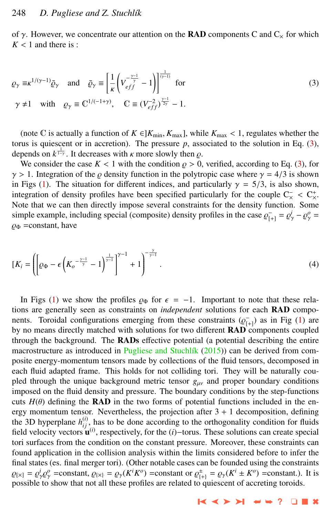<span id="page-3-0"></span>of  $\gamma$ . However, we concentrate our attention on the **RAD** components C and  $C_x$  for which  $K < 1$  and there is :

$$
\varrho_{\gamma} \equiv \kappa^{1/(\gamma - 1)} \bar{\varrho}_{\gamma} \quad \text{and} \quad \bar{\varrho}_{\gamma} \equiv \left[ \frac{1}{\kappa} \left( V_{eff}^{-\frac{\gamma - 1}{\gamma}} - 1 \right) \right]^{\frac{1}{(\gamma - 1)}} \text{ for}
$$
\n
$$
\gamma \neq 1 \quad \text{with} \quad \varrho_{\gamma} \equiv \mathbb{C}^{1/(-1 + \gamma)}, \quad \mathbb{C} \equiv (V_{eff}^{-2})^{\frac{\gamma - 1}{2\gamma}} - 1.
$$
\n(3)

(note C is actually a function of  $K \in ]K_{\min}, K_{\max}]$ , while  $K_{\max} < 1$ , regulates whether the torus is quiescent or in accretion). The pressure  $p$ , associated to the solution in Eq.  $(3)$ , depends on  $k^{\frac{1}{1-\gamma}}$ . It decreases with *k* more slowly then  $\rho$ .<br>We consider the case  $K < 1$  with the condition  $\rho > 0$ .

We consider the case  $K < 1$  with the condition  $\rho > 0$ , verified, according to Eq. (3), for  $\gamma > 1$ . Integration of the  $\rho$  density function in the polytropic case where  $\gamma = 4/3$  is shown in Figs [\(1\)](#page-4-0). The situation for different indices, and particularly  $\gamma = 5/3$ , is also shown, integration of density profiles have been specified particularly for the couple  $C_{\times}^+ < C_{\times}^+$ .<br>Note that we can then directly impose several constraints for the density function. Some Note that we can then directly impose several constraints for the density function. Some simple example, including special (composite) density profiles in the case  $\varrho_{[+]}^{\text{}} = \varrho_{\gamma}^i - \varrho_{\gamma}^o = \varrho_{\gamma}^a$  $\varrho_{\Phi}$  =constant, have

$$
[K_i = \left( \left[ \varrho_{\Phi} - \epsilon \left( K_o^{-\frac{\gamma - 1}{\gamma}} - 1 \right)^{\frac{1}{\gamma - 1}} \right]^{ \gamma - 1} + 1 \right)^{-\frac{\gamma}{\gamma - 1}}.
$$
\n(4)

In Figs [\(1\)](#page-4-0) we show the profiles  $\varrho_{\Phi}$  for  $\epsilon = -1$ . Important to note that these relations are generally seen as constraints on *independent* solutions for each RAD components. Toroidal configurations emerging from these constraints  $(\varrho_{[+]}^-)$  as in Fig [\(1\)](#page-4-0) are<br>by no means directly matched with solutions for two different **RAD** components counled by no means directly matched with solutions for two different RAD components coupled through the background. The RADs effective potential (a potential describing the entire macrostructure as introduced in Pugliese and Stuchlík [\(2015\)](#page-9-0)) can be derived from composite energy-momentum tensors made by collections of the fluid tensors, decomposed in each fluid adapted frame. This holds for not colliding tori. They will be naturally coupled through the unique background metric tensor  $g_{\mu\nu}$  and proper boundary conditions imposed on the fluid density and pressure. The boundary conditions by the step-functions cuts  $H(\theta)$  defining the **RAD** in the two forms of potential functions included in the energy momentum tensor. Nevertheless, the projection after  $3 + 1$  decomposition, defining the 3D hyperplane  $h_{ij}^{(i)}$ , has to be done according to the orthogonality condition for fluids field velocity vectors  $\mathbf{u}^{(i)}$ , respectively, for the  $(i)$ −torus. These solutions can create special tori surfaces from the condition on the constant pressure. Moreover, these constraints can found application in the collision analysis within the limits considered before to infer the final states (es. final merger tori). (Other notable cases can be founded using the constraints  $\varrho_{[X]} = \varrho_Y^i \varrho_Y^o$  =constant,  $\varrho_{[X]} = \varrho_Y(K^i K^o)$  =constant or  $\varrho_{[+]}^{\pm} = \varrho_Y(K^i \pm K^o)$  =constant.). It is not solve that not all these profiles are related to quiescent of accreting toroids possible to show that not all these profiles are related to quiescent of accreting toroids.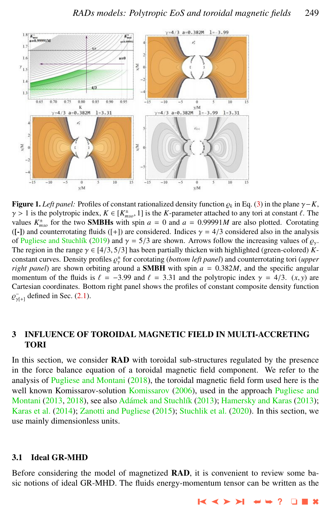<span id="page-4-0"></span>

**Figure 1.** *Left panel:* Profiles of constant rationalized density function  $\rho_k$  in Eq. [\(3\)](#page-3-0) in the plane  $\gamma - K$ ,  $\gamma > 1$  is the polytronic index  $K \in K^{\pm}$ . It is the *K*-parameter attached to any tori at constant  $\ell$ .  $\gamma > 1$  is the polytropic index,  $K \in [K_{mso}^{\pm}, 1]$  is the *K*-parameter attached to any tori at constant  $\ell$ . The values  $K^{\pm}$  for the two **SMRHs** with spin  $a = 0$  and  $a = 0$  99991*M* are also plotted. Corotating values  $K_{mso}^{\pm}$  for the two **SMBHs** with spin  $a = 0$  and  $a = 0.99991M$  are also plotted. Corotating (L1) and counterrotating fluids (L+1) are considered. Indices  $\gamma = 4/3$  considered also in the analysis ([-]) and counterrotating fluids ([+]) are considered. Indices  $\gamma = 4/3$  considered also in the analysis of Pugliese and Stuchlík [\(2019\)](#page-10-0) and  $\gamma = 5/3$  are shown. Arrows follow the increasing values of  $\rho_{\gamma}$ . The region in the range  $\gamma \in [4/3, 5/3]$  has been partially thicken with highlighted (green-colored) *K*constant curves. Density profiles  $\rho^+_{\gamma}$  for corotating (*bottom left panel*) and counterrotating tori (*upper*<br>right panel) are shown orbiting around a **SMRH** with spin  $a = 0.382M$  and the specific angular *right panel*) are shown orbiting around a **SMBH** with spin  $a = 0.382M$ , and the specific angular momentum of the fluids is  $f = -3.99$  and  $f = 3.31$  and the polytropic index  $\chi = 4/3$ . (x y) are momentum of the fluids is  $\ell = -3.99$  and  $\ell = 3.31$  and the polytropic index  $\gamma = 4/3$ .  $(x, y)$  are Cartesian coordinates. Bottom right panel shows the profiles of constant composite density function %  $\bar{y}_{\gamma[+]}$  defined in Sec. [\(2.1\)](#page-2-0).

# 3 INFLUENCE OF TOROIDAL MAGNETIC FIELD IN MULTI-ACCRETING TORI

In this section, we consider **RAD** with toroidal sub-structures regulated by the presence in the force balance equation of a toroidal magnetic field component. We refer to the analysis of [Pugliese and Montani](#page-9-0)  $(2018)$ , the toroidal magnetic field form used here is the well known [Komissarov](#page-9-0)-solution Komissarov [\(2006\)](#page-9-0), used in the approach [Pugliese and](#page-9-0) [Montani](#page-9-0) [\(2013,](#page-9-0) [2018\)](#page-9-0), see also Adámek and Stuchlík [\(2013\)](#page-9-0); [Hamersky and Karas](#page-9-0) (2013); [Karas et al.](#page-9-0) [\(2014\)](#page-9-0); [Zanotti and Pugliese](#page-10-0) [\(2015\)](#page-10-0); [Stuchlik et al.](#page-10-0) [\(2020\)](#page-10-0). In this section, we use mainly dimensionless units.

#### 3.1 Ideal GR-MHD

Before considering the model of magnetized RAD, it is convenient to review some basic notions of ideal GR-MHD. The fluids energy-momentum tensor can be written as the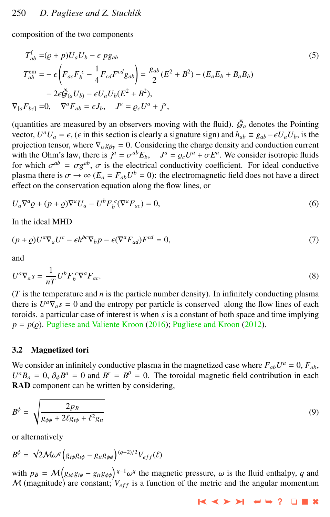composition of the two components

$$
T_{ab}^{\text{f}} = (Q + p)U_{a}U_{b} - \epsilon p g_{ab}
$$
\n
$$
T_{ab}^{\text{em}} = -\epsilon \left( F_{ac}F_{b}^{c} - \frac{1}{4}F_{cd}F^{cd}g_{ab} \right) = \frac{g_{ab}}{2}(E^{2} + B^{2}) - (E_{a}E_{b} + B_{a}B_{b})
$$
\n
$$
-2\epsilon \breve{g}_{(a}U_{b)} - \epsilon U_{a}U_{b}(E^{2} + B^{2}),
$$
\n
$$
\nabla_{[a}F_{bc]} = 0, \quad \nabla^{a}F_{ab} = \epsilon J_{b}, \quad J^{a} = \varrho_{c}U^{a} + j^{a},
$$
\n(5)

(quantities are measured by an observers moving with the fluid).  $\check{G}_a$  denotes the Pointing vector,  $U^a U_a = \epsilon$ , ( $\epsilon$  in this section is clearly a signature sign) and  $h_{ab} \equiv g_{ab} - \epsilon U_a U_b$ , is the projection tensor, where  $\nabla$ ,  $g_a = 0$ . Considering the charge density and conduction current projection tensor, where  $\nabla_{\alpha}g_{\beta\gamma}=0$ . Considering the charge density and conduction current with the Ohm's law, there is  $j^a = \sigma^{ab} E_b$ ,  $J^a = \rho_c U^a + \sigma E^a$ . We consider isotropic fluids<br>for which  $\sigma^{ab} = \sigma \sigma^{ab}$   $\sigma$  is the electrical conductivity coefficient. For ideal conductive for which  $\sigma^{ab} = \sigma g^{ab}$ ,  $\sigma$  is the electrical conductivity coefficient. For ideal conductive<br>plasma there is  $\sigma \to \infty$  ( $F = F / I^b = 0$ ); the electromagnetic field does not have a direct plasma there is  $\sigma \to \infty$  ( $E_a = F_{ab} U^b = 0$ ): the electromagnetic field does not have a direct<br>effect on the conservation equation along the flow lines, or effect on the conservation equation along the flow lines, or

$$
U_a \nabla^a \varrho + (p + \varrho) \nabla^a U_a - U^b F_b^c (\nabla^a F_{ac}) = 0,
$$
\n<sup>(6)</sup>

In the ideal MHD

$$
(p+q)U^a \nabla_a U^c - \epsilon h^{bc} \nabla_b p - \epsilon (\nabla^a F_{ad}) F^{cd} = 0,
$$
\n<sup>(7)</sup>

and

$$
U^a \nabla_a s = \frac{1}{nT} U^b F_b^c \nabla^a F_{ac}.
$$
 (8)

 $(T$  is the temperature and  $n$  is the particle number density). In infinitely conducting plasma there is  $U^a \nabla_a s = 0$  and the entropy per particle is conserved along the flow lines of each toroids. a particular case of interest is when *s* is a constant of both space and time implying  $p = p(\rho)$ . [Pugliese and Valiente Kroon](#page-10-0) [\(2016\)](#page-10-0); [Pugliese and Kroon](#page-9-0) [\(2012\)](#page-9-0).

#### 3.2 Magnetized tori

We consider an infinitely conductive plasma in the magnetized case where  $F_{ab}U^a = 0$ ,  $F_{ab}$ ,  $U^a B_a = 0$ ,  $\partial_{\phi} B^a = 0$  and  $B^r = B^{\theta} = 0$ . The toroidal magnetic field contribution in each **RAD** component can be written by considering RAD component can be written by considering,

$$
B^{\phi} = \sqrt{\frac{2p_B}{g_{\phi\phi} + 2\ell g_{t\phi} + \ell^2 g_{tt}}}
$$
\n(9)

or alternatively

$$
B^{\phi} = \sqrt{2\mathcal{M}\omega^{q}}\left(g_{t\phi}g_{t\phi} - g_{tt}g_{\phi\phi}\right)^{(q-2)/2}V_{eff}(\ell)
$$

with  $p_B = M \left( g_{t\phi} g_{t\phi} - g_{tt} g_{\phi\phi} \right)^{q-1} \omega^q$  the magnetic pressure,  $\omega$  is the fluid enthalpy, *q* and *M* (magnitude) are constant:  $V_{t\phi}$  is a function of the metric and the angular momentum  $M$  (magnitude) are constant;  $V_{eff}$  is a function of the metric and the angular momentum  $M$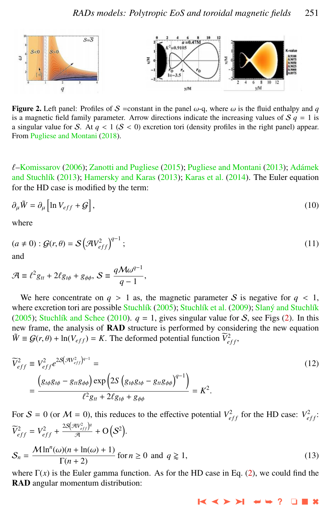

Figure 2. Left panel: Profiles of S = constant in the panel  $\omega$ -q, where  $\omega$  is the fluid enthalpy and q is a magnetic field family parameter. Arrow directions indicate the increasing values of  $S \, q = 1$  is a singular value for S. At  $q < 1$  ( $S < 0$ ) excretion tori (density profiles in the right panel) appear. From [Pugliese and Montani](#page-9-0) [\(2018\)](#page-9-0).

 $\ell$ [–Komissarov](#page-9-0) [\(2006\)](#page-9-0); [Zanotti and Pugliese](#page-10-0) [\(2015\)](#page-10-0); [Pugliese and Montani](#page-9-0) [\(2013\)](#page-9-0); Adámek and Stuchlík [\(2013\)](#page-9-0); [Hamersky and Karas](#page-9-0) (2013); [Karas et al.](#page-9-0) [\(2014\)](#page-9-0). The Euler equation for the HD case is modified by the term:

$$
\partial_{\mu}\tilde{W} = \partial_{\mu}\left[\ln V_{eff} + \mathcal{G}\right],\tag{10}
$$

where

$$
(a \neq 0) : \mathcal{G}(r,\theta) = \mathcal{S}(\mathcal{A}V_{eff}^2)^{q-1};
$$
\n(11)

$$
\mathcal{A} \equiv \ell^2 g_{tt} + 2\ell g_{t\phi} + g_{\phi\phi}, \ \mathcal{S} \equiv \frac{q \mathcal{M} \omega^{q-1}}{q-1},
$$

We here concentrate on  $q > 1$  as, the magnetic parameter S is negative for  $q < 1$ , where excretion tori are possible Stuchlík [\(2005\)](#page-10-0); Stuchlík et al. [\(2009\)](#page-10-0); Slaný and Stuchlík [\(2005\)](#page-10-0); Stuchlík and Schee [\(2010\)](#page-10-0).  $q = 1$ , gives singular value for S, see Figs (2). In this new frame, the analysis of RAD structure is performed by considering the new equation  $\tilde{W} \equiv \mathcal{G}(r, \theta) + \ln(V_{eff}) = K$ . The deformed potential function  $\tilde{V}_{eff}^2$ ,

$$
\widetilde{V}_{eff}^2 \equiv V_{eff}^2 e^{2S(\mathcal{H}V_{eff}^2)^{q-1}} =
$$
\n
$$
= \frac{\left(g_{t\phi}g_{t\phi} - g_{tt}g_{\phi\phi}\right) \exp\left(2S\left(g_{t\phi}g_{t\phi} - g_{tt}g_{\phi\phi}\right)^{q-1}\right)}{\ell^2 g_{tt} + 2\ell g_{t\phi} + g_{\phi\phi}} = K^2.
$$
\n(12)

For  $S = 0$  (or  $M = 0$ ), this reduces to the effective potential  $V_{eff}^2$  for the HD case:  $V_{eff}^2$ :  $\widetilde{V}_{eff}^2 = V_{eff}^2 + \frac{2S(\mathcal{A}V_{eff}^2)^q}{\mathcal{A}}$  $\frac{4V_{eff}^{2}}{A}$  + O(S<sup>2</sup>).  $S_n = \frac{\mathcal{M} \ln^n(\omega)(n + \ln(\omega) + 1)}{\Gamma(n + 2)}$  for  $n \ge 0$  and  $q \ge 1$ , (13)

where  $\Gamma(x)$  is the Euler gamma function. As for the HD case in Eq. [\(2\)](#page-2-0), we could find the RAD angular momentum distribution: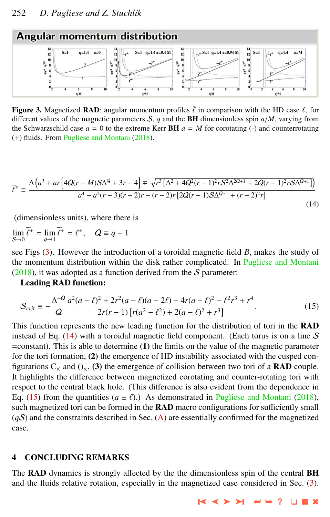<span id="page-7-0"></span>

Figure 3. Magnetized RAD: angular momentum profiles  $\tilde{\ell}$  in comparison with the HD case  $\ell$ , for different values of the magnetic parameters  $S$ , *q* and the **BH** dimensionless spin  $a/M$ , varying from the Schwarzschild case  $a = 0$  to the extreme Kerr **BH**  $a = M$  for corotating (-) and counterrotating (+) fluids. From [Pugliese and Montani](#page-9-0) [\(2018\)](#page-9-0).

$$
\widetilde{\ell}^{\mp} \equiv \frac{\Delta \left( a^3 + ar \left[ 4Q(r - M)S\Delta^2 + 3r - 4 \right] \mp \sqrt{r^3 \left[ \Delta^2 + 4Q^2(r - 1)^2 r S^2 \Delta^{2Q+1} + 2Q(r - 1)^2 r S \Delta^{Q+1} \right]} \right)}{a^4 - a^2(r - 3)(r - 2)r - (r - 2)r \left[ 2Q(r - 1)S\Delta^{Q+1} + (r - 2)^2 r \right]}
$$
\n(14)

(dimensionless units), where there is

 $\lim_{S\to 0} \widetilde{\ell}^{\mp} = \lim_{q\to 1} \widetilde{\ell}^{\mp} = \ell^{\pm}, \quad Q \equiv q - 1$  $S\rightarrow 0$ *q*→1

see Figs (3). However the introduction of a toroidal magnetic field *B*, makes the study of the momentum distribution within the disk rather complicated. In [Pugliese and Montani](#page-9-0)  $(2018)$ , it was adopted as a function derived from the S parameter:

Leading RAD function:

$$
S_{crit} \equiv -\frac{\Delta^{-Q}}{Q} \frac{a^2(a-\ell)^2 + 2r^2(a-\ell)(a-2\ell) - 4r(a-\ell)^2 - \ell^2 r^3 + r^4}{2r(r-1)\left[r(a^2-\ell^2) + 2(a-\ell)^2 + r^3\right]}.
$$
\n(15)

This function represents the new leading function for the distribution of tori in the RAD instead of Eq.  $(14)$  with a toroidal magnetic field component. (Each torus is on a line S =constant). This is able to determine (1) the limits on the value of the magnetic parameter for the tori formation, (2) the emergence of HD instability associated with the cusped configurations  $C_x$  and  $O_x$ , (3) the emergence of collision between two tori of a **RAD** couple. It highlights the difference between magnetized corotating and counter-rotating tori with respect to the central black hole. (This difference is also evident from the dependence in Eq. (15) from the quantities  $(a \pm \ell)$ .) As demonstrated in [Pugliese and Montani](#page-9-0) [\(2018\)](#page-9-0), such magnetized tori can be formed in the **RAD** macro configurations for sufficiently small  $(qS)$  and the constraints described in Sec. [\(A\)](#page-8-0) are essentially confirmed for the magnetized case.

# 4 CONCLUDING REMARKS

The RAD dynamics is strongly affected by the the dimensionless spin of the central BH and the fluids relative rotation, especially in the magnetized case considered in Sec. [\(3\)](#page-4-0).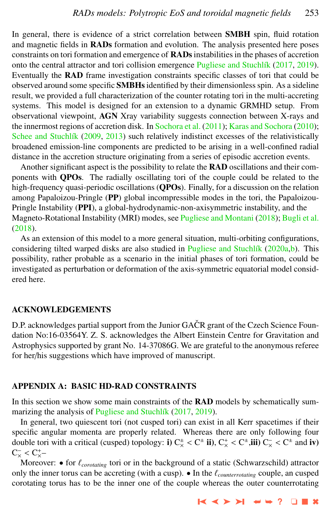<span id="page-8-0"></span>In general, there is evidence of a strict correlation between **SMBH** spin, fluid rotation and magnetic fields in RADs formation and evolution. The analysis presented here poses constraints on tori formation and emergence of RADs instabilities in the phases of accretion onto the central attractor and tori collision emergence Pugliese and Stuchlík [\(2017,](#page-9-0) [2019\)](#page-10-0). Eventually the RAD frame investigation constraints specific classes of tori that could be observed around some specific **SMBHs** identified by their dimensionless spin. As a sideline result, we provided a full characterization of the counter rotating tori in the multi-accreting systems. This model is designed for an extension to a dynamic GRMHD setup. From observational viewpoint, AGN Xray variability suggests connection between X-rays and the innermost regions of accretion disk. In [Sochora et al.](#page-10-0) [\(2011\)](#page-10-0); [Karas and Sochora](#page-9-0) [\(2010\)](#page-9-0); Schee and Stuchlík [\(2009,](#page-10-0) [2013\)](#page-10-0) such relatively indistinct excesses of the relativistically broadened emission-line components are predicted to be arising in a well-confined radial distance in the accretion structure originating from a series of episodic accretion events.

Another significant aspect is the possibility to relate the RAD oscillations and their components with QPOs. The radially oscillating tori of the couple could be related to the high-frequency quasi-periodic oscillations (QPOs). Finally, for a discussion on the relation among Papaloizou-Pringle (PP) global incompressible modes in the tori, the Papaloizou-Pringle Instability (PPI), a global-hydrodynamic-non-axisymmetric instability, and the Magneto-Rotational Instability (MRI) modes, see [Pugliese and Montani](#page-9-0) [\(2018\)](#page-9-0); [Bugli et al.](#page-9-0) [\(2018\)](#page-9-0).

As an extension of this model to a more general situation, multi-orbiting configurations, considering tilted warped disks are also studied in Pugliese and Stuchlík [\(2020a,b\)](#page-10-0). This possibility, rather probable as a scenario in the initial phases of tori formation, could be investigated as perturbation or deformation of the axis-symmetric equatorial model considered here.

# ACKNOWLEDGEMENTS

D.P. acknowledges partial support from the Junior GAČR grant of the Czech Science Foundation No:16-03564Y. Z. S. acknowledges the Albert Einstein Centre for Gravitation and Astrophysics supported by grant No. 14-37086G. We are grateful to the anonymous referee for her/his suggestions which have improved of manuscript.

# APPENDIX A: BASIC HD-RAD CONSTRAINTS

In this section we show some main constraints of the **RAD** models by schematically sum-marizing the analysis of Pugliese and Stuchlík [\(2017,](#page-9-0) [2019\)](#page-10-0).

In general, two quiescent tori (not cusped tori) can exist in all Kerr spacetimes if their specific angular momenta are properly related. Whereas there are only following four double tori with a critical (cusped) topology: **i**)  $C_x^+ < C^{\pm}$  **ii**),  $C_x^+ < C^{\pm}$ , **iii**)  $C_x^- < C^{\pm}$  and **iv**)<br> $C^- < C^{\pm}$  $C_{\times}^{-} < C_{\times}^{+}$ <br>Moreov

Moreover: • for  $\ell_{corotating}$  tori or in the background of a static (Schwarzschild) attractor only the inner torus can be accreting (with a cusp).  $\bullet$  In the  $\ell_{counterrotating}$  couple, an cusped corotating torus has to be the inner one of the couple whereas the outer counterrotating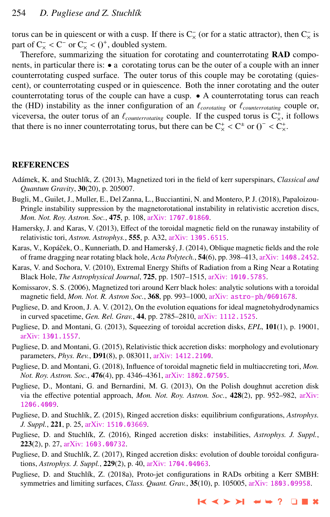<span id="page-9-0"></span>torus can be in quiescent or with a cusp. If there is  $C_{\times}^-$  (or for a static attractor), then  $C_{\times}^-$  is part of  $C_{\times} < C^{-}$  or  $C_{\times} < 0^{+}$ , doubled system.<br>Therefore, summarizing the situation for c

Therefore, summarizing the situation for corotating and counterrotating RAD components, in particular there is: • a corotating torus can be the outer of a couple with an inner counterrotating cusped surface. The outer torus of this couple may be corotating (quiescent), or counterrotating cusped or in quiescence. Both the inner corotating and the outer counterrotating torus of the couple can have a cusp. • A counterrotating torus can reach the (HD) instability as the inner configuration of an  $\ell_{corotating}$  or  $\ell_{counterrotating}$  couple or, viceversa, the outer torus of an  $\ell_{counterrotating}$  couple. If the cusped torus is  $C_{\times}^{+}$ , it follows that there is no inner counterrotating torus but there can be  $C_{\times}^{+} \subset C_{\times}^{+}$  or  $O_{\times}^{-} \subset C_{\times}^{+}$ that there is no inner counterrotating torus, but there can be  $C_x^+ < C^+$  or  $0^- < C_x^+$ .

#### **REFERENCES**

- Adámek, K. and Stuchlík, Z. (2013), Magnetized tori in the field of kerr superspinars, *Classical and Quantum Gravity*, 30(20), p. 205007.
- Bugli, M., Guilet, J., Muller, E., Del Zanna, L., Bucciantini, N. and Montero, P. J. (2018), Papaloizou-Pringle instability suppression by the magnetorotational instability in relativistic accretion discs, *Mon. Not. Roy. Astron. Soc.*, 475, p. 108, arXiv: [1707.01860](http://www.arxiv.org/abs/1707.01860).
- Hamersky, J. and Karas, V. (2013), Effect of the toroidal magnetic field on the runaway instability of relativistic tori, *Astron. Astrophys.*, 555, p. A32, arXiv: [1305.6515](http://www.arxiv.org/abs/1305.6515).
- Karas, V., Kopáček, O., Kunneriath, D. and Hamerský, J. (2014), Oblique magnetic fields and the role of frame dragging near rotating black hole, *Acta Polytech.*, 54(6), pp. 398–413, arXiv: [1408.2452](http://www.arxiv.org/abs/1408.2452).
- Karas, V. and Sochora, V. (2010), Extremal Energy Shifts of Radiation from a Ring Near a Rotating Black Hole, *The Astrophysical Journal*, 725, pp. 1507–1515, arXiv: [1010.5785](http://www.arxiv.org/abs/1010.5785).
- Komissarov, S. S. (2006), Magnetized tori around Kerr black holes: analytic solutions with a toroidal magnetic field, *Mon. Not. R. Astron Soc.*, 368, pp. 993–1000, arXiv: [astro-ph/0601678](http://www.arxiv.org/abs/astro-ph/0601678).
- Pugliese, D. and Kroon, J. A. V. (2012), On the evolution equations for ideal magnetohydrodynamics in curved spacetime, *Gen. Rel. Grav.*, 44, pp. 2785–2810, arXiv: [1112.1525](http://www.arxiv.org/abs/1112.1525).
- Pugliese, D. and Montani, G. (2013), Squeezing of toroidal accretion disks, *EPL*, 101(1), p. 19001, arXiv: [1301.1557](http://www.arxiv.org/abs/1301.1557).
- Pugliese, D. and Montani, G. (2015), Relativistic thick accretion disks: morphology and evolutionary parameters, *Phys. Rev.*, D91(8), p. 083011, arXiv: [1412.2100](http://www.arxiv.org/abs/1412.2100).
- Pugliese, D. and Montani, G. (2018), Influence of toroidal magnetic field in multiaccreting tori, *Mon. Not. Roy. Astron. Soc.*, 476(4), pp. 4346–4361, arXiv: [1802.07505](http://www.arxiv.org/abs/1802.07505).
- Pugliese, D., Montani, G. and Bernardini, M. G. (2013), On the Polish doughnut accretion disk via the effective potential approach, *Mon. Not. Roy. Astron. Soc.*, 428(2), pp. 952–982, [arXiv:](http://www.arxiv.org/abs/1206.4009) [1206.4009](http://www.arxiv.org/abs/1206.4009).
- Pugliese, D. and Stuchl´ık, Z. (2015), Ringed accretion disks: equilibrium configurations, *Astrophys. J. Suppl.*, 221, p. 25, arXiv: [1510.03669](http://www.arxiv.org/abs/1510.03669).
- Pugliese, D. and Stuchlík, Z. (2016), Ringed accretion disks: instabilities, Astrophys. J. Suppl., 223(2), p. 27, arXiv: [1603.00732](http://www.arxiv.org/abs/1603.00732).
- Pugliese, D. and Stuchlík, Z. (2017), Ringed accretion disks: evolution of double toroidal configurations, *Astrophys. J. Suppl.*, 229(2), p. 40, arXiv: [1704.04063](http://www.arxiv.org/abs/1704.04063).
- Pugliese, D. and Stuchlík, Z. (2018a), Proto-jet configurations in RADs orbiting a Kerr SMBH: symmetries and limiting surfaces, *Class. Quant. Grav.*, 35(10), p. 105005, arXiv: [1803.09958](http://www.arxiv.org/abs/1803.09958).